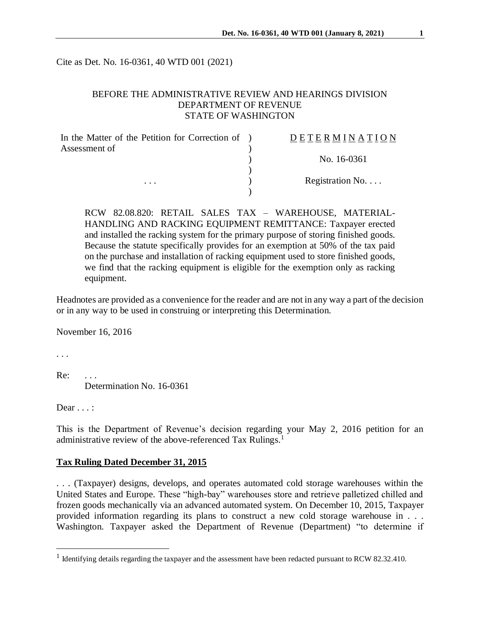Cite as Det. No. 16-0361, 40 WTD 001 (2021)

### BEFORE THE ADMINISTRATIVE REVIEW AND HEARINGS DIVISION DEPARTMENT OF REVENUE STATE OF WASHINGTON

| In the Matter of the Petition for Correction of ) | DETERMINATION            |
|---------------------------------------------------|--------------------------|
| Assessment of                                     |                          |
|                                                   | No. 16-0361              |
|                                                   |                          |
| $\cdots$                                          | Registration No. $\dots$ |
|                                                   |                          |

RCW 82.08.820: RETAIL SALES TAX – WAREHOUSE, MATERIAL-HANDLING AND RACKING EQUIPMENT REMITTANCE: Taxpayer erected and installed the racking system for the primary purpose of storing finished goods. Because the statute specifically provides for an exemption at 50% of the tax paid on the purchase and installation of racking equipment used to store finished goods, we find that the racking equipment is eligible for the exemption only as racking equipment.

Headnotes are provided as a convenience for the reader and are not in any way a part of the decision or in any way to be used in construing or interpreting this Determination.

November 16, 2016

. . .

 $\overline{a}$ 

Re: Determination No. 16-0361

Dear . . . :

This is the Department of Revenue's decision regarding your May 2, 2016 petition for an administrative review of the above-referenced Tax Rulings.<sup>1</sup>

#### **Tax Ruling Dated December 31, 2015**

. . . (Taxpayer) designs, develops, and operates automated cold storage warehouses within the United States and Europe. These "high-bay" warehouses store and retrieve palletized chilled and frozen goods mechanically via an advanced automated system. On December 10, 2015, Taxpayer provided information regarding its plans to construct a new cold storage warehouse in . . . Washington. Taxpayer asked the Department of Revenue (Department) "to determine if

<sup>&</sup>lt;sup>1</sup> Identifying details regarding the taxpayer and the assessment have been redacted pursuant to RCW 82.32.410.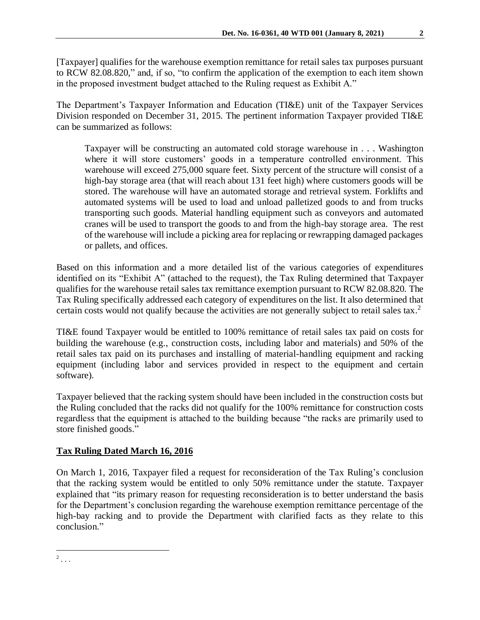[Taxpayer] qualifies for the warehouse exemption remittance for retail sales tax purposes pursuant to RCW 82.08.820," and, if so, "to confirm the application of the exemption to each item shown in the proposed investment budget attached to the Ruling request as Exhibit A."

The Department's Taxpayer Information and Education (TI&E) unit of the Taxpayer Services Division responded on December 31, 2015. The pertinent information Taxpayer provided TI&E can be summarized as follows:

Taxpayer will be constructing an automated cold storage warehouse in . . . Washington where it will store customers' goods in a temperature controlled environment. This warehouse will exceed 275,000 square feet. Sixty percent of the structure will consist of a high-bay storage area (that will reach about 131 feet high) where customers goods will be stored. The warehouse will have an automated storage and retrieval system. Forklifts and automated systems will be used to load and unload palletized goods to and from trucks transporting such goods. Material handling equipment such as conveyors and automated cranes will be used to transport the goods to and from the high-bay storage area. The rest of the warehouse will include a picking area for replacing or rewrapping damaged packages or pallets, and offices.

Based on this information and a more detailed list of the various categories of expenditures identified on its "Exhibit A" (attached to the request), the Tax Ruling determined that Taxpayer qualifies for the warehouse retail sales tax remittance exemption pursuant to RCW 82.08.820. The Tax Ruling specifically addressed each category of expenditures on the list. It also determined that certain costs would not qualify because the activities are not generally subject to retail sales tax.<sup>2</sup>

TI&E found Taxpayer would be entitled to 100% remittance of retail sales tax paid on costs for building the warehouse (e.g., construction costs, including labor and materials) and 50% of the retail sales tax paid on its purchases and installing of material-handling equipment and racking equipment (including labor and services provided in respect to the equipment and certain software).

Taxpayer believed that the racking system should have been included in the construction costs but the Ruling concluded that the racks did not qualify for the 100% remittance for construction costs regardless that the equipment is attached to the building because "the racks are primarily used to store finished goods."

# **Tax Ruling Dated March 16, 2016**

On March 1, 2016, Taxpayer filed a request for reconsideration of the Tax Ruling's conclusion that the racking system would be entitled to only 50% remittance under the statute. Taxpayer explained that "its primary reason for requesting reconsideration is to better understand the basis for the Department's conclusion regarding the warehouse exemption remittance percentage of the high-bay racking and to provide the Department with clarified facts as they relate to this conclusion."

 $\overline{a}$  $2$ ...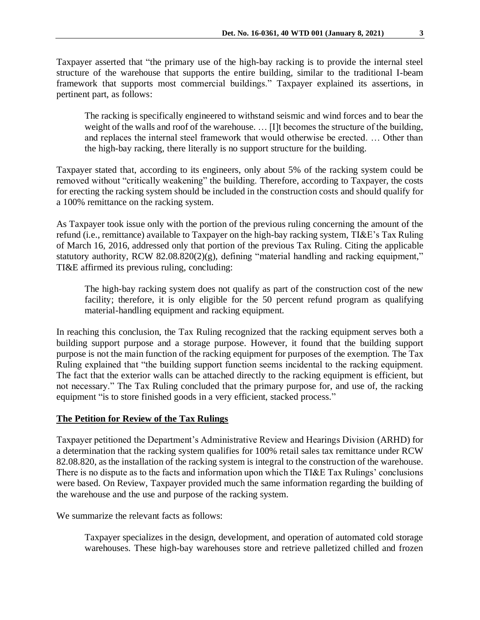Taxpayer asserted that "the primary use of the high-bay racking is to provide the internal steel structure of the warehouse that supports the entire building, similar to the traditional I-beam framework that supports most commercial buildings." Taxpayer explained its assertions, in pertinent part, as follows:

The racking is specifically engineered to withstand seismic and wind forces and to bear the weight of the walls and roof of the warehouse. … [I]t becomes the structure of the building, and replaces the internal steel framework that would otherwise be erected. … Other than the high-bay racking, there literally is no support structure for the building.

Taxpayer stated that, according to its engineers, only about 5% of the racking system could be removed without "critically weakening" the building. Therefore, according to Taxpayer, the costs for erecting the racking system should be included in the construction costs and should qualify for a 100% remittance on the racking system.

As Taxpayer took issue only with the portion of the previous ruling concerning the amount of the refund (i.e., remittance) available to Taxpayer on the high-bay racking system, TI&E's Tax Ruling of March 16, 2016, addressed only that portion of the previous Tax Ruling. Citing the applicable statutory authority, RCW 82.08.820(2)(g), defining "material handling and racking equipment," TI&E affirmed its previous ruling, concluding:

The high-bay racking system does not qualify as part of the construction cost of the new facility; therefore, it is only eligible for the 50 percent refund program as qualifying material-handling equipment and racking equipment.

In reaching this conclusion, the Tax Ruling recognized that the racking equipment serves both a building support purpose and a storage purpose. However, it found that the building support purpose is not the main function of the racking equipment for purposes of the exemption. The Tax Ruling explained that "the building support function seems incidental to the racking equipment. The fact that the exterior walls can be attached directly to the racking equipment is efficient, but not necessary." The Tax Ruling concluded that the primary purpose for, and use of, the racking equipment "is to store finished goods in a very efficient, stacked process."

### **The Petition for Review of the Tax Rulings**

Taxpayer petitioned the Department's Administrative Review and Hearings Division (ARHD) for a determination that the racking system qualifies for 100% retail sales tax remittance under RCW 82.08.820, as the installation of the racking system is integral to the construction of the warehouse. There is no dispute as to the facts and information upon which the TI&E Tax Rulings' conclusions were based. On Review, Taxpayer provided much the same information regarding the building of the warehouse and the use and purpose of the racking system.

We summarize the relevant facts as follows:

Taxpayer specializes in the design, development, and operation of automated cold storage warehouses. These high-bay warehouses store and retrieve palletized chilled and frozen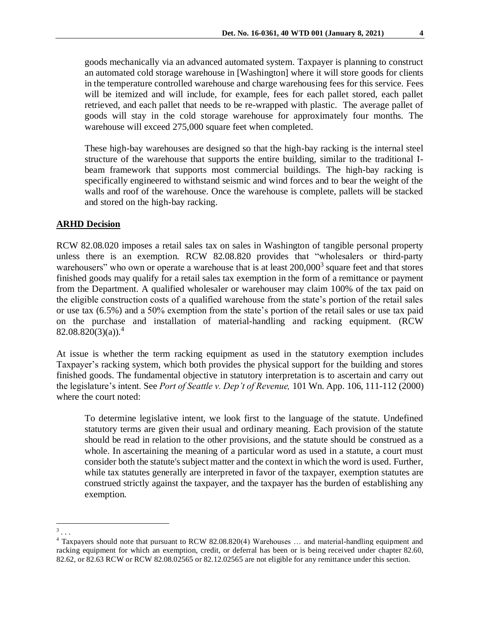goods mechanically via an advanced automated system. Taxpayer is planning to construct an automated cold storage warehouse in [Washington] where it will store goods for clients in the temperature controlled warehouse and charge warehousing fees for this service. Fees will be itemized and will include, for example, fees for each pallet stored, each pallet retrieved, and each pallet that needs to be re-wrapped with plastic. The average pallet of goods will stay in the cold storage warehouse for approximately four months. The warehouse will exceed 275,000 square feet when completed.

These high-bay warehouses are designed so that the high-bay racking is the internal steel structure of the warehouse that supports the entire building, similar to the traditional Ibeam framework that supports most commercial buildings. The high-bay racking is specifically engineered to withstand seismic and wind forces and to bear the weight of the walls and roof of the warehouse. Once the warehouse is complete, pallets will be stacked and stored on the high-bay racking.

## **ARHD Decision**

RCW 82.08.020 imposes a retail sales tax on sales in Washington of tangible personal property unless there is an exemption. RCW 82.08.820 provides that "wholesalers or third-party warehousers" who own or operate a warehouse that is at least 200,000<sup>3</sup> square feet and that stores finished goods may qualify for a retail sales tax exemption in the form of a remittance or payment from the Department. A qualified wholesaler or warehouser may claim 100% of the tax paid on the eligible construction costs of a qualified warehouse from the state's portion of the retail sales or use tax (6.5%) and a 50% exemption from the state's portion of the retail sales or use tax paid on the purchase and installation of material-handling and racking equipment. (RCW  $82.08.820(3)(a).<sup>4</sup>$ 

At issue is whether the term racking equipment as used in the statutory exemption includes Taxpayer's racking system, which both provides the physical support for the building and stores finished goods. The fundamental objective in statutory interpretation is to ascertain and carry out the legislature's intent. See *Port of Seattle v. Dep't of Revenue,* 101 Wn. App. 106, 111-112 (2000) where the court noted:

To determine legislative intent, we look first to the language of the statute. Undefined statutory terms are given their usual and ordinary meaning. Each provision of the statute should be read in relation to the other provisions, and the statute should be construed as a whole. In ascertaining the meaning of a particular word as used in a statute, a court must consider both the statute's subject matter and the context in which the word is used. Further, while tax statutes generally are interpreted in favor of the taxpayer, exemption statutes are construed strictly against the taxpayer, and the taxpayer has the burden of establishing any exemption.

 $\frac{3}{3}$ ...

<sup>4</sup> Taxpayers should note that pursuant to RCW 82.08.820(4) Warehouses … and material-handling equipment and racking equipment for which an exemption, credit, or deferral has been or is being received under chapter 82.60, 82.62, or 82.63 RCW or RCW 82.08.02565 or 82.12.02565 are not eligible for any remittance under this section.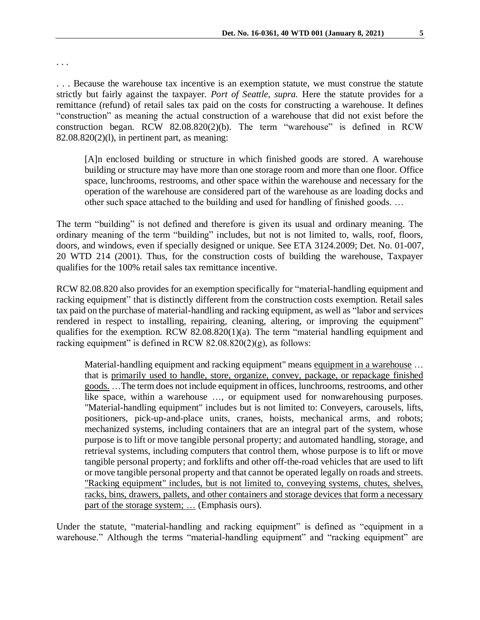. . .

. . . Because the warehouse tax incentive is an exemption statute, we must construe the statute strictly but fairly against the taxpayer. *Port of Seattle, supra.* Here the statute provides for a remittance (refund) of retail sales tax paid on the costs for constructing a warehouse. It defines "construction" as meaning the actual construction of a warehouse that did not exist before the construction began. RCW 82.08.820(2)(b). The term "warehouse" is defined in RCW 82.08.820(2)(l), in pertinent part, as meaning:

[A]n enclosed building or structure in which finished goods are stored. A warehouse building or structure may have more than one storage room and more than one floor. Office space, lunchrooms, restrooms, and other space within the warehouse and necessary for the operation of the warehouse are considered part of the warehouse as are loading docks and other such space attached to the building and used for handling of finished goods. …

The term "building" is not defined and therefore is given its usual and ordinary meaning. The ordinary meaning of the term "building" includes, but not is not limited to, walls, roof, floors, doors, and windows, even if specially designed or unique. See ETA 3124.2009; Det. No. 01-007, 20 WTD 214 (2001). Thus, for the construction costs of building the warehouse, Taxpayer qualifies for the 100% retail sales tax remittance incentive.

RCW 82.08.820 also provides for an exemption specifically for "material-handling equipment and racking equipment" that is distinctly different from the construction costs exemption. Retail sales tax paid on the purchase of material-handling and racking equipment, as well as "labor and services rendered in respect to installing, repairing, cleaning, altering, or improving the equipment" qualifies for the exemption. RCW 82.08.820(1)(a). The term "material handling equipment and racking equipment" is defined in RCW  $82.08.820(2)(g)$ , as follows:

Material-handling equipment and racking equipment" means equipment in a warehouse … that is primarily used to handle, store, organize, convey, package, or repackage finished goods. …The term does not include equipment in offices, lunchrooms, restrooms, and other like space, within a warehouse …, or equipment used for nonwarehousing purposes. "Material-handling equipment" includes but is not limited to: Conveyers, carousels, lifts, positioners, pick-up-and-place units, cranes, hoists, mechanical arms, and robots; mechanized systems, including containers that are an integral part of the system, whose purpose is to lift or move tangible personal property; and automated handling, storage, and retrieval systems, including computers that control them, whose purpose is to lift or move tangible personal property; and forklifts and other off-the-road vehicles that are used to lift or move tangible personal property and that cannot be operated legally on roads and streets. "Racking equipment" includes, but is not limited to, conveying systems, chutes, shelves, racks, bins, drawers, pallets, and other containers and storage devices that form a necessary part of the storage system; … (Emphasis ours).

Under the statute, "material-handling and racking equipment" is defined as "equipment in a warehouse." Although the terms "material-handling equipment" and "racking equipment" are